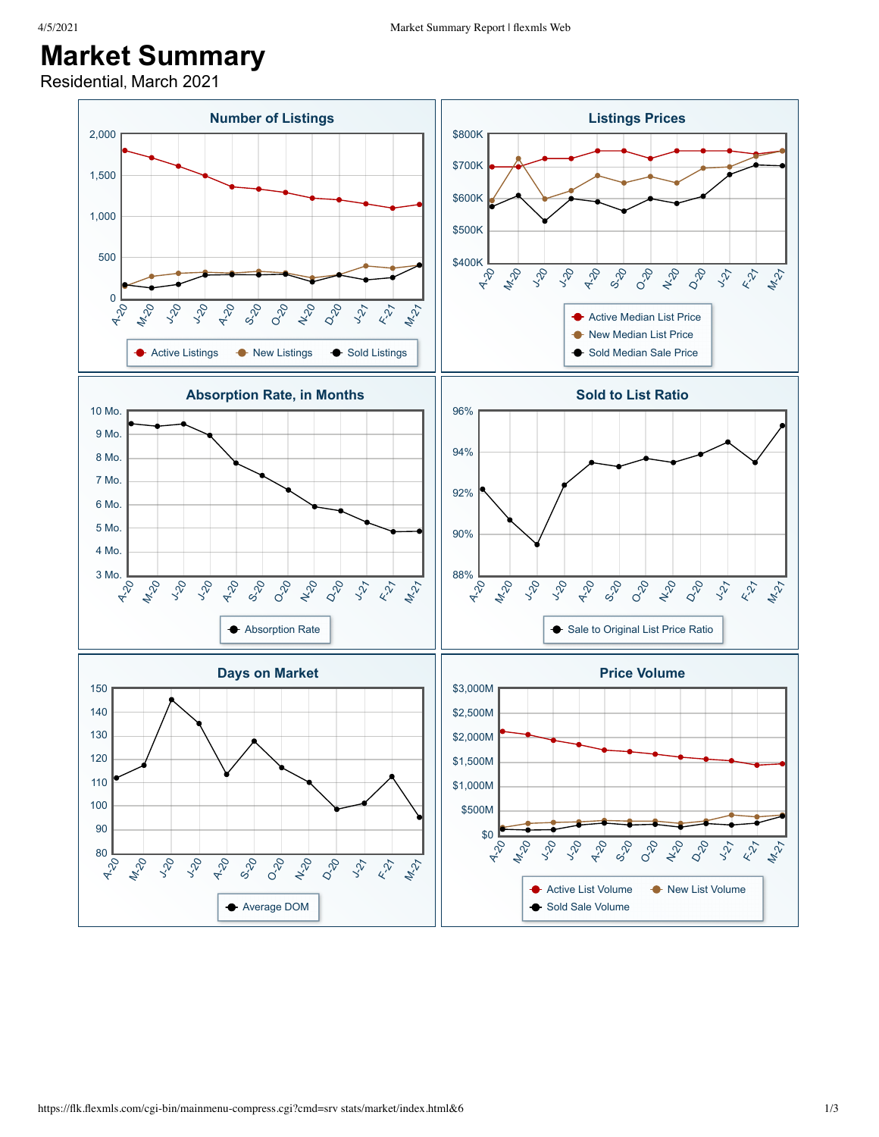## **Market Summary**

Residential, March 2021

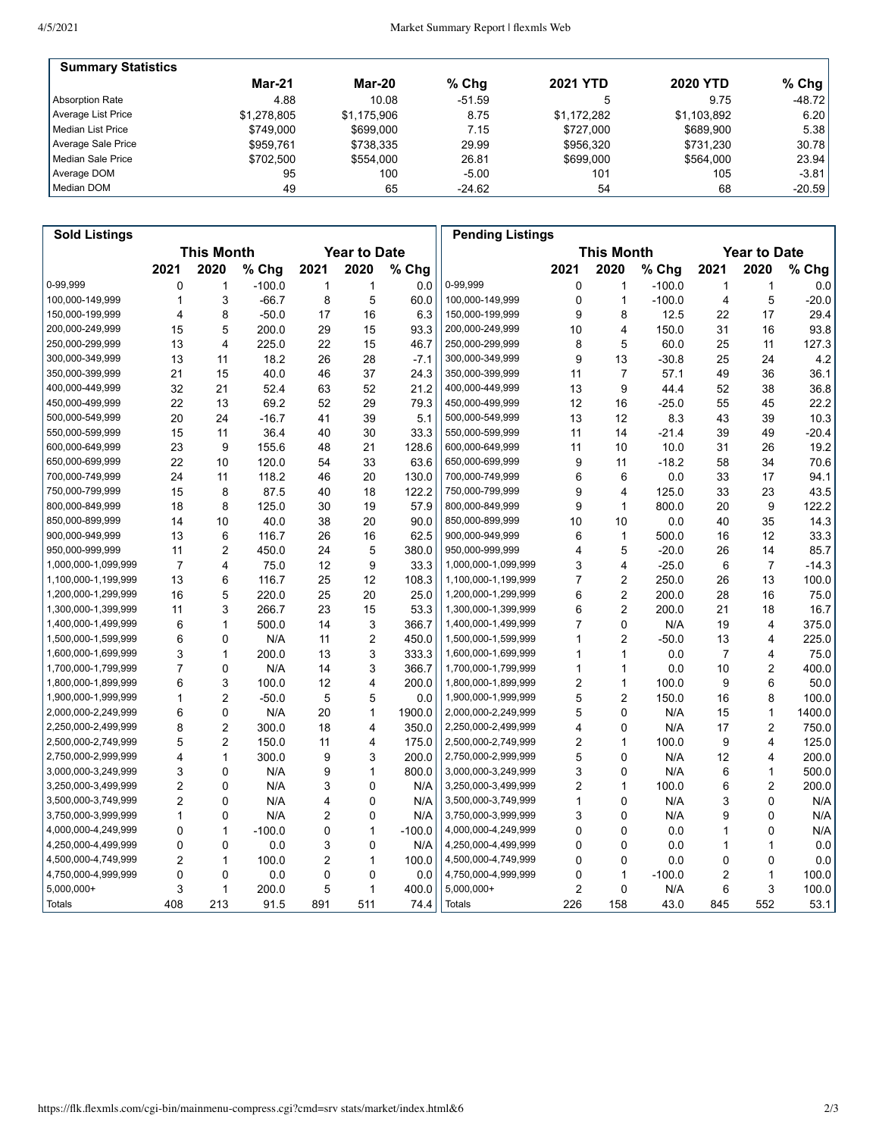| <b>Summary Statistics</b> |             |               |          |                 |                 |           |
|---------------------------|-------------|---------------|----------|-----------------|-----------------|-----------|
|                           | Mar-21      | <b>Mar-20</b> | $%$ Chg  | <b>2021 YTD</b> | <b>2020 YTD</b> | % Chg $ $ |
| Absorption Rate           | 4.88        | 10.08         | $-51.59$ |                 | 9.75            | $-48.72$  |
| Average List Price        | \$1.278.805 | \$1.175.906   | 8.75     | \$1.172.282     | \$1.103.892     | 6.20      |
| Median List Price         | \$749.000   | \$699,000     | 7.15     | \$727,000       | \$689.900       | 5.38      |
| Average Sale Price        | \$959.761   | \$738.335     | 29.99    | \$956.320       | \$731.230       | 30.78     |
| Median Sale Price         | \$702.500   | \$554,000     | 26.81    | \$699,000       | \$564.000       | 23.94     |
| Average DOM               | 95          | 100           | $-5.00$  | 101             | 105             | $-3.81$   |
| Median DOM                | 49          | 65            | $-24.62$ | 54              | 68              | $-20.59$  |

| <b>Sold Listings</b> |                                          |                         |          |                |                |                                          | <b>Pending Listings</b> |                         |                         |          |      |                |         |
|----------------------|------------------------------------------|-------------------------|----------|----------------|----------------|------------------------------------------|-------------------------|-------------------------|-------------------------|----------|------|----------------|---------|
|                      | <b>This Month</b><br><b>Year to Date</b> |                         |          |                |                | <b>This Month</b><br><b>Year to Date</b> |                         |                         |                         |          |      |                |         |
|                      | 2021                                     | 2020                    | % Chg    | 2021           | 2020           | % Chg                                    |                         | 2021                    | 2020                    | $%$ Chg  | 2021 | 2020           | % Chg   |
| 0-99,999             | 0                                        | $\mathbf{1}$            | $-100.0$ | 1              | 1              | 0.0                                      | 0-99,999                | 0                       | $\mathbf{1}$            | $-100.0$ | 1    | 1              | 0.0     |
| 100,000-149,999      | 1                                        | 3                       | $-66.7$  | 8              | 5              | 60.0                                     | 100,000-149,999         | 0                       | $\mathbf{1}$            | $-100.0$ | 4    | 5              | $-20.0$ |
| 150,000-199,999      | 4                                        | 8                       | $-50.0$  | 17             | 16             | 6.3                                      | 150,000-199,999         | 9                       | 8                       | 12.5     | 22   | 17             | 29.4    |
| 200,000-249,999      | 15                                       | 5                       | 200.0    | 29             | 15             | 93.3                                     | 200,000-249,999         | 10                      | 4                       | 150.0    | 31   | 16             | 93.8    |
| 250,000-299,999      | 13                                       | $\overline{\mathbf{4}}$ | 225.0    | 22             | 15             | 46.7                                     | 250,000-299,999         | 8                       | 5                       | 60.0     | 25   | 11             | 127.3   |
| 300,000-349,999      | 13                                       | 11                      | 18.2     | 26             | 28             | $-7.1$                                   | 300,000-349,999         | 9                       | 13                      | $-30.8$  | 25   | 24             | 4.2     |
| 350,000-399,999      | 21                                       | 15                      | 40.0     | 46             | 37             | 24.3                                     | 350,000-399,999         | 11                      | $\overline{7}$          | 57.1     | 49   | 36             | 36.1    |
| 400,000-449,999      | 32                                       | 21                      | 52.4     | 63             | 52             | 21.2                                     | 400,000-449,999         | 13                      | 9                       | 44.4     | 52   | 38             | 36.8    |
| 450,000-499,999      | 22                                       | 13                      | 69.2     | 52             | 29             | 79.3                                     | 450,000-499,999         | 12                      | 16                      | -25.0    | 55   | 45             | 22.2    |
| 500,000-549,999      | 20                                       | 24                      | $-16.7$  | 41             | 39             | 5.1                                      | 500,000-549,999         | 13                      | 12                      | 8.3      | 43   | 39             | 10.3    |
| 550,000-599,999      | 15                                       | 11                      | 36.4     | 40             | 30             | 33.3                                     | 550,000-599,999         | 11                      | 14                      | $-21.4$  | 39   | 49             | $-20.4$ |
| 600,000-649,999      | 23                                       | 9                       | 155.6    | 48             | 21             | 128.6                                    | 600,000-649,999         | 11                      | 10                      | 10.0     | 31   | 26             | 19.2    |
| 650,000-699,999      | 22                                       | 10                      | 120.0    | 54             | 33             | 63.6                                     | 650,000-699,999         | 9                       | 11                      | $-18.2$  | 58   | 34             | 70.6    |
| 700,000-749,999      | 24                                       | 11                      | 118.2    | 46             | 20             | 130.0                                    | 700,000-749,999         | 6                       | 6                       | 0.0      | 33   | 17             | 94.1    |
| 750,000-799,999      | 15                                       | 8                       | 87.5     | 40             | 18             | 122.2                                    | 750,000-799,999         | 9                       | $\overline{\mathbf{4}}$ | 125.0    | 33   | 23             | 43.5    |
| 800,000-849,999      | 18                                       | 8                       | 125.0    | 30             | 19             | 57.9                                     | 800,000-849,999         | 9                       | $\mathbf{1}$            | 800.0    | 20   | 9              | 122.2   |
| 850,000-899,999      | 14                                       | 10                      | 40.0     | 38             | 20             | 90.0                                     | 850,000-899,999         | 10                      | 10                      | 0.0      | 40   | 35             | 14.3    |
| 900,000-949,999      | 13                                       | 6                       | 116.7    | 26             | 16             | 62.5                                     | 900,000-949,999         | 6                       | $\mathbf{1}$            | 500.0    | 16   | 12             | 33.3    |
| 950,000-999,999      | 11                                       | $\overline{2}$          | 450.0    | 24             | 5              | 380.0                                    | 950,000-999,999         | 4                       | 5                       | $-20.0$  | 26   | 14             | 85.7    |
| 1,000,000-1,099,999  | $\overline{7}$                           | $\overline{\mathbf{4}}$ | 75.0     | 12             | 9              | 33.3                                     | 1,000,000-1,099,999     | 3                       | 4                       | $-25.0$  | 6    | $\overline{7}$ | $-14.3$ |
| 1,100,000-1,199,999  | 13                                       | 6                       | 116.7    | 25             | 12             | 108.3                                    | 1,100,000-1,199,999     | 7                       | $\overline{2}$          | 250.0    | 26   | 13             | 100.0   |
| 1,200,000-1,299,999  | 16                                       | 5                       | 220.0    | 25             | 20             | 25.0                                     | 1,200,000-1,299,999     | 6                       | $\overline{c}$          | 200.0    | 28   | 16             | 75.0    |
| 1,300,000-1,399,999  | 11                                       | 3                       | 266.7    | 23             | 15             | 53.3                                     | 1,300,000-1,399,999     | 6                       | $\overline{2}$          | 200.0    | 21   | 18             | 16.7    |
| 1,400,000-1,499,999  | 6                                        | $\mathbf{1}$            | 500.0    | 14             | 3              | 366.7                                    | 1,400,000-1,499,999     | $\overline{7}$          | $\mathbf 0$             | N/A      | 19   | 4              | 375.0   |
| 1,500,000-1,599,999  | 6                                        | $\mathbf 0$             | N/A      | 11             | $\overline{2}$ | 450.0                                    | 1,500,000-1,599,999     | 1                       | $\overline{2}$          | $-50.0$  | 13   | 4              | 225.0   |
| 1,600,000-1,699,999  | 3                                        | 1                       | 200.0    | 13             | 3              | 333.3                                    | 1,600,000-1,699,999     | 1                       | $\mathbf{1}$            | 0.0      | 7    | 4              | 75.0    |
| 1,700,000-1,799,999  | $\overline{7}$                           | 0                       | N/A      | 14             | 3              | 366.7                                    | 1,700,000-1,799,999     | 1                       | $\mathbf{1}$            | 0.0      | 10   | $\overline{c}$ | 400.0   |
| 1,800,000-1,899,999  | 6                                        | 3                       | 100.0    | 12             | 4              | 200.0                                    | 1,800,000-1,899,999     | 2                       | $\mathbf{1}$            | 100.0    | 9    | 6              | 50.0    |
| 1,900,000-1,999,999  | $\mathbf{1}$                             | $\overline{2}$          | $-50.0$  | 5              | 5              | 0.0                                      | 1,900,000-1,999,999     | 5                       | $\overline{2}$          | 150.0    | 16   | 8              | 100.0   |
| 2,000,000-2,249,999  | 6                                        | $\mathbf 0$             | N/A      | 20             | $\mathbf{1}$   | 1900.0                                   | 2,000,000-2,249,999     | 5                       | 0                       | N/A      | 15   | $\mathbf{1}$   | 1400.0  |
| 2,250,000-2,499,999  | 8                                        | $\overline{2}$          | 300.0    | 18             | 4              | 350.0                                    | 2,250,000-2,499,999     | 4                       | 0                       | N/A      | 17   | 2              | 750.0   |
| 2,500,000-2,749,999  | 5                                        | $\overline{2}$          | 150.0    | 11             | 4              | 175.0                                    | 2,500,000-2,749,999     | 2                       | $\mathbf{1}$            | 100.0    | 9    | 4              | 125.0   |
| 2,750,000-2,999,999  | 4                                        | $\mathbf{1}$            | 300.0    | 9              | 3              | 200.0                                    | 2,750,000-2,999,999     | 5                       | $\mathbf 0$             | N/A      | 12   | 4              | 200.0   |
| 3,000,000-3,249,999  | 3                                        | $\mathbf 0$             | N/A      | 9              | 1              | 800.0                                    | 3,000,000-3,249,999     | 3                       | $\mathbf 0$             | N/A      | 6    | $\mathbf{1}$   | 500.0   |
| 3,250,000-3,499,999  | $\overline{2}$                           | $\mathbf 0$             | N/A      | 3              | $\mathbf 0$    | N/A                                      | 3,250,000-3,499,999     | 2                       | $\mathbf{1}$            | 100.0    | 6    | 2              | 200.0   |
| 3,500,000-3,749,999  | $\overline{2}$                           | 0                       | N/A      | 4              | 0              | N/A                                      | 3,500,000-3,749,999     | 1                       | 0                       | N/A      | 3    | 0              | N/A     |
| 3,750,000-3,999,999  | 1                                        | 0                       | N/A      | $\overline{c}$ | 0              | N/A                                      | 3,750,000-3,999,999     | 3                       | $\mathbf 0$             | N/A      | 9    | 0              | N/A     |
| 4,000,000-4,249,999  | 0                                        | $\mathbf{1}$            | $-100.0$ | 0              | 1              | $-100.0$                                 | 4,000,000-4,249,999     | $\Omega$                | $\mathbf 0$             | 0.0      | 1    | 0              | N/A     |
| 4,250,000-4,499,999  | $\mathbf 0$                              | $\mathbf 0$             | 0.0      | 3              | 0              | N/A                                      | 4,250,000-4,499,999     | 0                       | $\mathbf 0$             | 0.0      | 1    | 1              | 0.0     |
| 4,500,000-4,749,999  | $\overline{2}$                           | $\mathbf{1}$            | 100.0    | $\overline{c}$ | 1              | 100.0                                    | 4,500,000-4,749,999     | 0                       | $\mathbf 0$             | 0.0      | 0    | 0              | 0.0     |
| 4,750,000-4,999,999  | 0                                        | 0                       | 0.0      | 0              | 0              | 0.0                                      | 4,750,000-4,999,999     | 0                       | 1                       | $-100.0$ | 2    | 1              | 100.0   |
| 5,000,000+           | 3                                        | $\mathbf{1}$            | 200.0    | 5              | 1              | 400.0                                    | 5,000,000+              | $\overline{\mathbf{c}}$ | $\mathbf 0$             | N/A      | 6    | 3              | 100.0   |
| Totals               | 408                                      | 213                     | 91.5     | 891            | 511            | 74.4                                     | <b>Totals</b>           | 226                     | 158                     | 43.0     | 845  | 552            | 53.1    |
|                      |                                          |                         |          |                |                |                                          |                         |                         |                         |          |      |                |         |